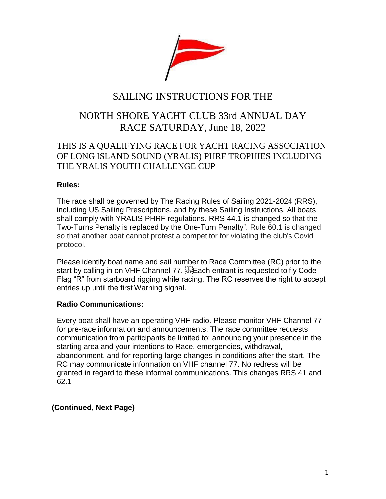

# SAILING INSTRUCTIONS FOR THE

# NORTH SHORE YACHT CLUB 33rd ANNUAL DAY RACE SATURDAY, June 18, 2022

# THIS IS A QUALIFYING RACE FOR YACHT RACING ASSOCIATION OF LONG ISLAND SOUND (YRALIS) PHRF TROPHIES INCLUDING THE YRALIS YOUTH CHALLENGE CUP

# **Rules:**

The race shall be governed by The Racing Rules of Sailing 2021-2024 (RRS), including US Sailing Prescriptions, and by these Sailing Instructions. All boats shall comply with YRALIS PHRF regulations. RRS 44.1 is changed so that the Two-Turns Penalty is replaced by the One-Turn Penalty". Rule 60.1 is changed so that another boat cannot protest a competitor for violating the club's Covid protocol.

Please identify boat name and sail number to Race Committee (RC) prior to the start by calling in on VHF Channel 77. Each entrant is requested to fly Code Flag "R" from starboard rigging while racing. The RC reserves the right to accept entries up until the first Warning signal.

### **Radio Communications:**

Every boat shall have an operating VHF radio. Please monitor VHF Channel 77 for pre-race information and announcements. The race committee requests communication from participants be limited to: announcing your presence in the starting area and your intentions to Race, emergencies, withdrawal, abandonment, and for reporting large changes in conditions after the start. The RC may communicate information on VHF channel 77. No redress will be granted in regard to these informal communications. This changes RRS 41 and 62.1

# **(Continued, Next Page)**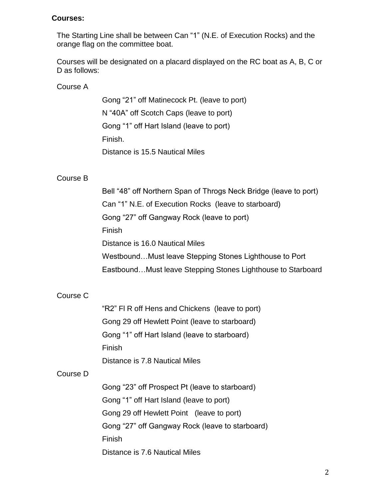#### **Courses:**

The Starting Line shall be between Can "1" (N.E. of Execution Rocks) and the orange flag on the committee boat.

Courses will be designated on a placard displayed on the RC boat as A, B, C or D as follows:

#### Course A

Gong "21" off Matinecock Pt. (leave to port) N "40A" off Scotch Caps (leave to port) Gong "1" off Hart Island (leave to port) Finish. Distance is 15.5 Nautical Miles

#### Course B

Bell "48" off Northern Span of Throgs Neck Bridge (leave to port) Can "1" N.E. of Execution Rocks (leave to starboard) Gong "27" off Gangway Rock (leave to port) Finish Distance is 16.0 Nautical Miles Westbound…Must leave Stepping Stones Lighthouse to Port Eastbound…Must leave Stepping Stones Lighthouse to Starboard

# Course C

"R2" Fl R off Hens and Chickens (leave to port) Gong 29 off Hewlett Point (leave to starboard) Gong "1" off Hart Island (leave to starboard) Finish Distance is 7.8 Nautical Miles

#### Course D

Gong "23" off Prospect Pt (leave to starboard) Gong "1" off Hart Island (leave to port) Gong 29 off Hewlett Point (leave to port) Gong "27" off Gangway Rock (leave to starboard) Finish Distance is 7.6 Nautical Miles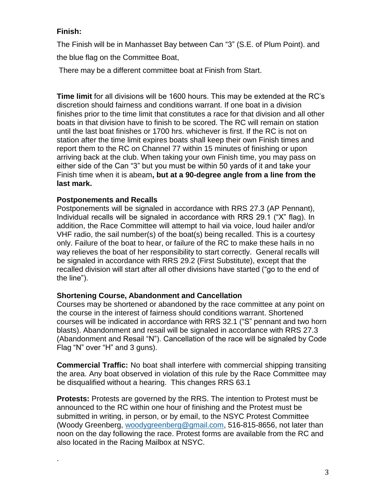# **Finish:**

.

The Finish will be in Manhasset Bay between Can "3" (S.E. of Plum Point). and the blue flag on the Committee Boat,

There may be a different committee boat at Finish from Start.

**Time limit** for all divisions will be 1600 hours. This may be extended at the RC's discretion should fairness and conditions warrant. If one boat in a division finishes prior to the time limit that constitutes a race for that division and all other boats in that division have to finish to be scored. The RC will remain on station until the last boat finishes or 1700 hrs. whichever is first. If the RC is not on station after the time limit expires boats shall keep their own Finish times and report them to the RC on Channel 77 within 15 minutes of finishing or upon arriving back at the club. When taking your own Finish time, you may pass on either side of the Can "3" but you must be within 50 yards of it and take your Finish time when it is abeam**, but at a 90-degree angle from a line from the last mark.**

# **Postponements and Recalls**

Postponements will be signaled in accordance with RRS 27.3 (AP Pennant), Individual recalls will be signaled in accordance with RRS 29.1 ("X" flag). In addition, the Race Committee will attempt to hail via voice, loud hailer and/or VHF radio, the sail number(s) of the boat(s) being recalled. This is a courtesy only. Failure of the boat to hear, or failure of the RC to make these hails in no way relieves the boat of her responsibility to start correctly. General recalls will be signaled in accordance with RRS 29.2 (First Substitute), except that the recalled division will start after all other divisions have started ("go to the end of the line").

# **Shortening Course, Abandonment and Cancellation**

Courses may be shortened or abandoned by the race committee at any point on the course in the interest of fairness should conditions warrant. Shortened courses will be indicated in accordance with RRS 32.1 ("S" pennant and two horn blasts). Abandonment and resail will be signaled in accordance with RRS 27.3 (Abandonment and Resail "N"). Cancellation of the race will be signaled by Code Flag "N" over "H" and 3 guns).

**Commercial Traffic:** No boat shall interfere with commercial shipping transiting the area. Any boat observed in violation of this rule by the Race Committee may be disqualified without a hearing. This changes RRS 63.1

**Protests:** Protests are governed by the RRS. The intention to Protest must be announced to the RC within one hour of finishing and the Protest must be submitted in writing, in person, or by email, to the NSYC Protest Committee (Woody Greenberg, [woodygreenberg@gmail.com,](mailto:woodygreenberg@gmail.com) 516-815-8656, not later than noon on the day following the race. Protest forms are available from the RC and also located in the Racing Mailbox at NSYC.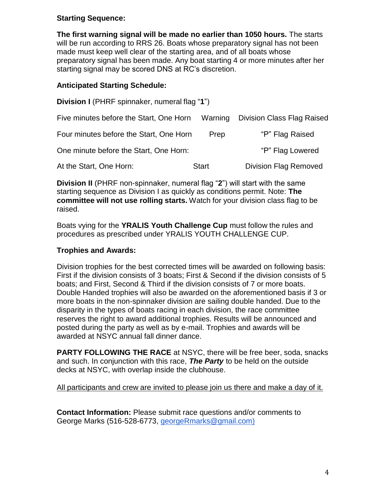# **Starting Sequence:**

**The first warning signal will be made no earlier than 1050 hours.** The starts will be run according to RRS 26. Boats whose preparatory signal has not been made must keep well clear of the starting area, and of all boats whose preparatory signal has been made. Any boat starting 4 or more minutes after her starting signal may be scored DNS at RC's discretion.

## **Anticipated Starting Schedule:**

| Division I (PHRF spinnaker, numeral flag "1") |              |                                    |
|-----------------------------------------------|--------------|------------------------------------|
| Five minutes before the Start, One Horn       |              | Warning Division Class Flag Raised |
| Four minutes before the Start, One Horn       | Prep         | "P" Flag Raised                    |
| One minute before the Start, One Horn:        |              | "P" Flag Lowered                   |
| At the Start, One Horn:                       | <b>Start</b> | <b>Division Flag Removed</b>       |

**Division II** (PHRF non-spinnaker, numeral flag "**2**") will start with the same starting sequence as Division I as quickly as conditions permit. Note: **The committee will not use rolling starts.** Watch for your division class flag to be raised.

Boats vying for the **YRALIS Youth Challenge Cup** must follow the rules and procedures as prescribed under YRALIS YOUTH CHALLENGE CUP.

### **Trophies and Awards:**

Division trophies for the best corrected times will be awarded on following basis: First if the division consists of 3 boats; First & Second if the division consists of 5 boats; and First, Second & Third if the division consists of 7 or more boats. Double Handed trophies will also be awarded on the aforementioned basis if 3 or more boats in the non-spinnaker division are sailing double handed. Due to the disparity in the types of boats racing in each division, the race committee reserves the right to award additional trophies. Results will be announced and posted during the party as well as by e-mail. Trophies and awards will be awarded at NSYC annual fall dinner dance.

**PARTY FOLLOWING THE RACE** at NSYC, there will be free beer, soda, snacks and such. In conjunction with this race, *The Party* to be held on the outside decks at NSYC, with overlap inside the clubhouse.

All participants and crew are invited to please join us there and make a day of it.

**Contact Information:** Please submit race questions and/or comments to George Marks (516-528-6773, georgeRmarks@gmail.com)